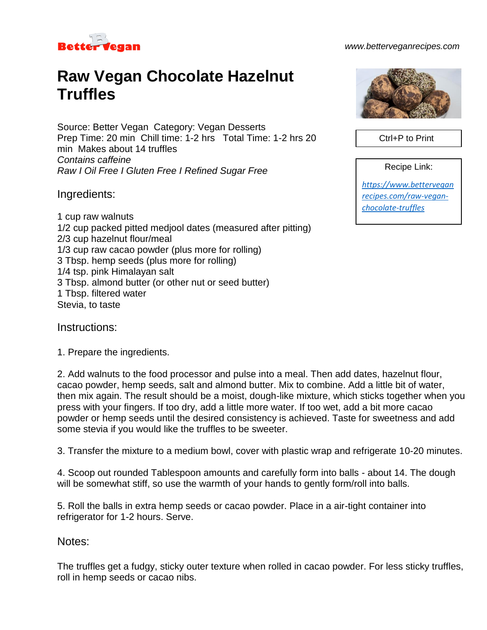

## *www.betterveganrecipes.com*

## **Raw Vegan Chocolate Hazelnut Truffles**

Source: Better Vegan Category: Vegan Desserts Prep Time: 20 min Chill time: 1-2 hrs Total Time: 1-2 hrs 20 min Makes about 14 truffles *Contains caffeine Raw I Oil Free I Gluten Free I Refined Sugar Free*

Ingredients:

1 cup raw walnuts 1/2 cup packed pitted medjool dates (measured after pitting) 2/3 cup hazelnut flour/meal 1/3 cup raw cacao powder (plus more for rolling) 3 Tbsp. hemp seeds (plus more for rolling) 1/4 tsp. pink Himalayan salt 3 Tbsp. almond butter (or other nut or seed butter) 1 Tbsp. filtered water Stevia, to taste

Instructions:

1. Prepare the ingredients.

2. Add walnuts to the food processor and pulse into a meal. Then add dates, hazelnut flour, cacao powder, hemp seeds, salt and almond butter. Mix to combine. Add a little bit of water, then mix again. The result should be a moist, dough-like mixture, which sticks together when you press with your fingers. If too dry, add a little more water. If too wet, add a bit more cacao powder or hemp seeds until the desired consistency is achieved. Taste for sweetness and add some stevia if you would like the truffles to be sweeter.

3. Transfer the mixture to a medium bowl, cover with plastic wrap and refrigerate 10-20 minutes.

4. Scoop out rounded Tablespoon amounts and carefully form into balls - about 14. The dough will be somewhat stiff, so use the warmth of your hands to gently form/roll into balls.

5. Roll the balls in extra hemp seeds or cacao powder. Place in a air-tight container into refrigerator for 1-2 hours. Serve.

## Notes:

The truffles get a fudgy, sticky outer texture when rolled in cacao powder. For less sticky truffles, roll in hemp seeds or cacao nibs.



Ctrl+P to Print

Recipe Link:

*[https://www.bettervegan](https://www.betterveganrecipes.com/raw-vegan-chocolate-truffles) [recipes.com/raw-vegan](https://www.betterveganrecipes.com/raw-vegan-chocolate-truffles)[chocolate-truffles](https://www.betterveganrecipes.com/raw-vegan-chocolate-truffles)*